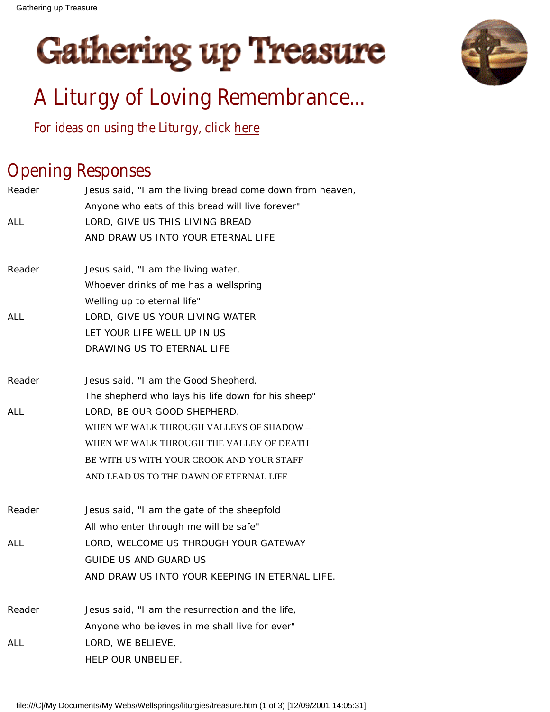



# A Liturgy of Loving Remembrance...

For ideas on using the Liturgy, click [here](file:///C|/My Documents/My Webs/Wellsprings/liturgies/treasure1.htm)

# Opening Responses

| Reader     | Jesus said, "I am the living bread come down from heaven, |
|------------|-----------------------------------------------------------|
|            | Anyone who eats of this bread will live forever"          |
| ALL        | LORD, GIVE US THIS LIVING BREAD                           |
|            | AND DRAW US INTO YOUR ETERNAL LIFE                        |
| Reader     | Jesus said, "I am the living water,                       |
|            | Whoever drinks of me has a wellspring                     |
|            | Welling up to eternal life"                               |
| <b>ALL</b> | LORD, GIVE US YOUR LIVING WATER                           |
|            | LET YOUR LIFE WELL UP IN US                               |
|            | DRAWING US TO ETERNAL LIFE                                |
| Reader     | Jesus said, "I am the Good Shepherd.                      |
|            | The shepherd who lays his life down for his sheep"        |
| ALL        | LORD, BE OUR GOOD SHEPHERD.                               |
|            | WHEN WE WALK THROUGH VALLEYS OF SHADOW -                  |
|            | WHEN WE WALK THROUGH THE VALLEY OF DEATH                  |
|            | BE WITH US WITH YOUR CROOK AND YOUR STAFF                 |
|            | AND LEAD US TO THE DAWN OF ETERNAL LIFE                   |
| Reader     | Jesus said, "I am the gate of the sheepfold               |
|            | All who enter through me will be safe"                    |
| <b>ALL</b> | LORD, WELCOME US THROUGH YOUR GATEWAY                     |
|            | <b>GUIDE US AND GUARD US</b>                              |
|            | AND DRAW US INTO YOUR KEEPING IN ETERNAL LIFE.            |
| Reader     | Jesus said, "I am the resurrection and the life,          |
|            | Anyone who believes in me shall live for ever"            |
| ALL        | LORD, WE BELIEVE,                                         |
|            | HELP OUR UNBELIEF.                                        |
|            |                                                           |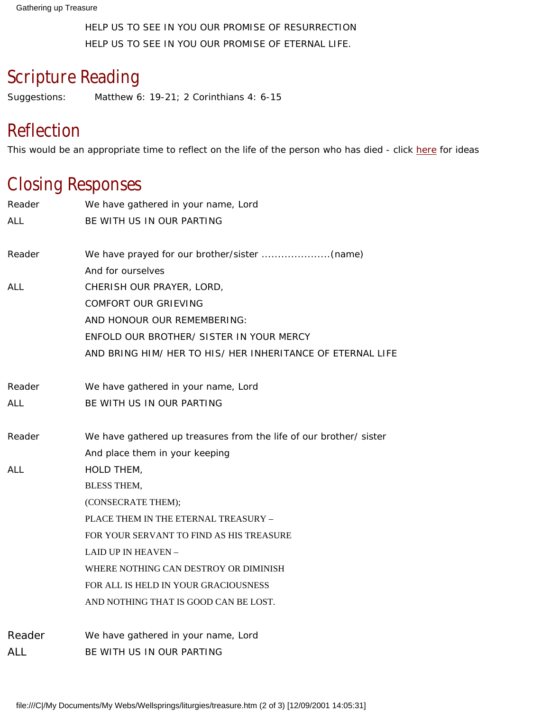HELP US TO SEE IN YOU OUR PROMISE OF RESURRECTION HELP US TO SEE IN YOU OUR PROMISE OF ETERNAL LIFE.

## Scripture Reading

Suggestions: Matthew 6: 19-21; 2 Corinthians 4: 6-15

## Reflection

This would be an appropriate time to reflect on the life of the person who has died - click [here](file:///C|/My Documents/My Webs/Wellsprings/liturgies/treasure1.htm#Reflection) for ideas

## Closing Responses

| Reader     | We have gathered in your name, Lord                               |
|------------|-------------------------------------------------------------------|
| ALL        | BE WITH US IN OUR PARTING                                         |
| Reader     |                                                                   |
|            | And for ourselves                                                 |
| ALL        | CHERISH OUR PRAYER, LORD,                                         |
|            | <b>COMFORT OUR GRIEVING</b>                                       |
|            | AND HONOUR OUR REMEMBERING:                                       |
|            | ENFOLD OUR BROTHER/ SISTER IN YOUR MERCY                          |
|            | AND BRING HIM/ HER TO HIS/ HER INHERITANCE OF ETERNAL LIFE        |
| Reader     | We have gathered in your name, Lord                               |
| ALL        | BE WITH US IN OUR PARTING                                         |
| Reader     | We have gathered up treasures from the life of our brother/sister |
|            | And place them in your keeping                                    |
| <b>ALL</b> | HOLD THEM,                                                        |
|            | <b>BLESS THEM,</b>                                                |
|            | (CONSECRATE THEM);                                                |
|            | PLACE THEM IN THE ETERNAL TREASURY -                              |
|            | FOR YOUR SERVANT TO FIND AS HIS TREASURE                          |
|            | <b>LAID UP IN HEAVEN -</b>                                        |
|            | WHERE NOTHING CAN DESTROY OR DIMINISH                             |
|            | FOR ALL IS HELD IN YOUR GRACIOUSNESS                              |
|            | AND NOTHING THAT IS GOOD CAN BE LOST.                             |
| Reader     | We have gathered in your name, Lord                               |
| <b>ALL</b> | BE WITH US IN OUR PARTING                                         |